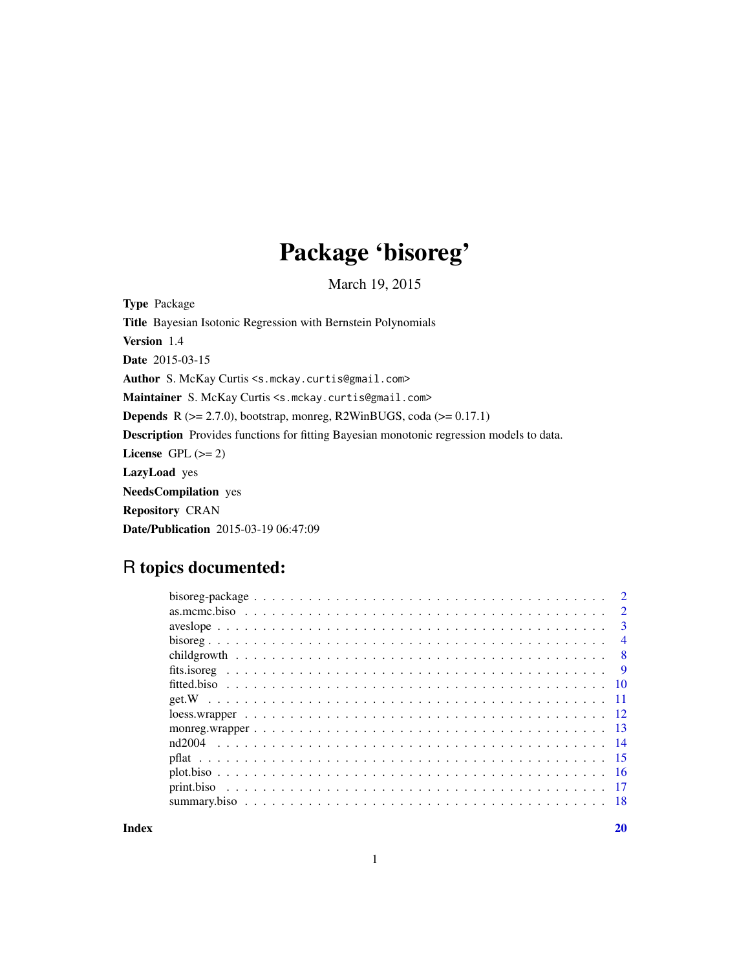# Package 'bisoreg'

March 19, 2015

<span id="page-0-0"></span>Type Package Title Bayesian Isotonic Regression with Bernstein Polynomials Version 1.4 Date 2015-03-15 Author S. McKay Curtis <s.mckay.curtis@gmail.com> Maintainer S. McKay Curtis <s.mckay.curtis@gmail.com> Depends R (>= 2.7.0), bootstrap, monreg, R2WinBUGS, coda (>= 0.17.1) Description Provides functions for fitting Bayesian monotonic regression models to data. License GPL  $(>= 2)$ LazyLoad yes NeedsCompilation yes Repository CRAN Date/Publication 2015-03-19 06:47:09

# R topics documented:

|        | $\overline{2}$ |
|--------|----------------|
|        | $\mathbf{3}$   |
|        | $\overline{4}$ |
|        | - 8            |
|        |                |
|        |                |
|        |                |
|        |                |
|        |                |
| nd2004 |                |
|        |                |
|        |                |
|        |                |
|        |                |
|        |                |

 $\bf 1$ ndex  $\bf 20$  $\bf 20$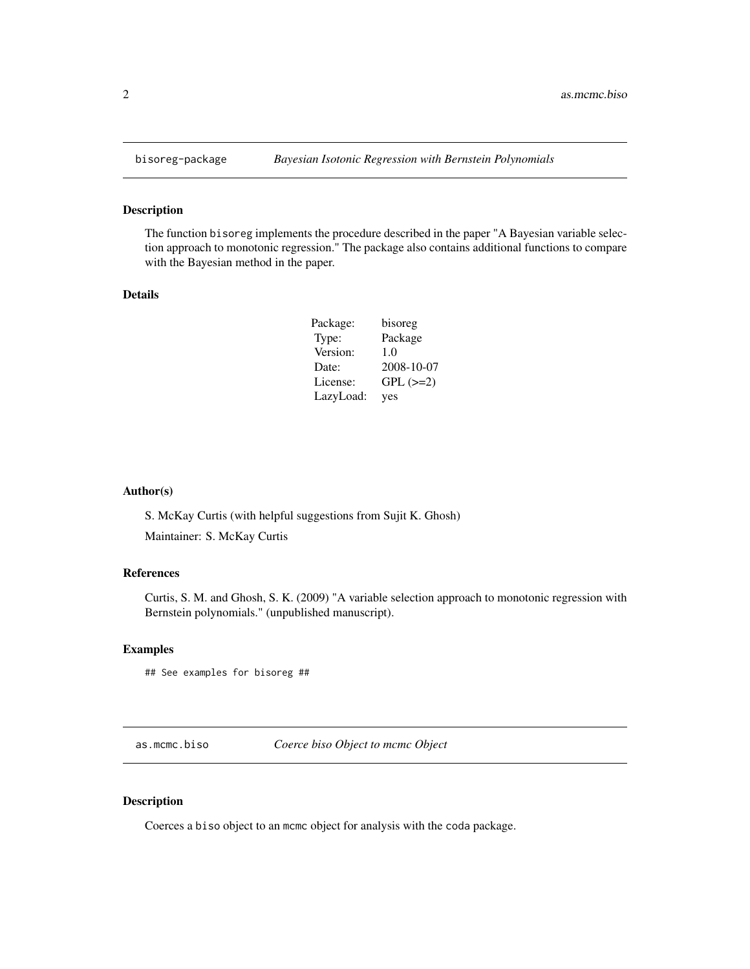The function bisoreg implements the procedure described in the paper "A Bayesian variable selection approach to monotonic regression." The package also contains additional functions to compare with the Bayesian method in the paper.

#### Details

| Package:  | bisoreg       |
|-----------|---------------|
| Type:     | Package       |
| Version:  | 1.0           |
| Date:     | 2008-10-07    |
| License:  | $GPL$ $(>=2)$ |
| LazyLoad: | yes           |

#### Author(s)

S. McKay Curtis (with helpful suggestions from Sujit K. Ghosh)

Maintainer: S. McKay Curtis

#### References

Curtis, S. M. and Ghosh, S. K. (2009) "A variable selection approach to monotonic regression with Bernstein polynomials." (unpublished manuscript).

#### Examples

## See examples for bisoreg ##

as.mcmc.biso *Coerce biso Object to mcmc Object*

## Description

Coerces a biso object to an mcmc object for analysis with the coda package.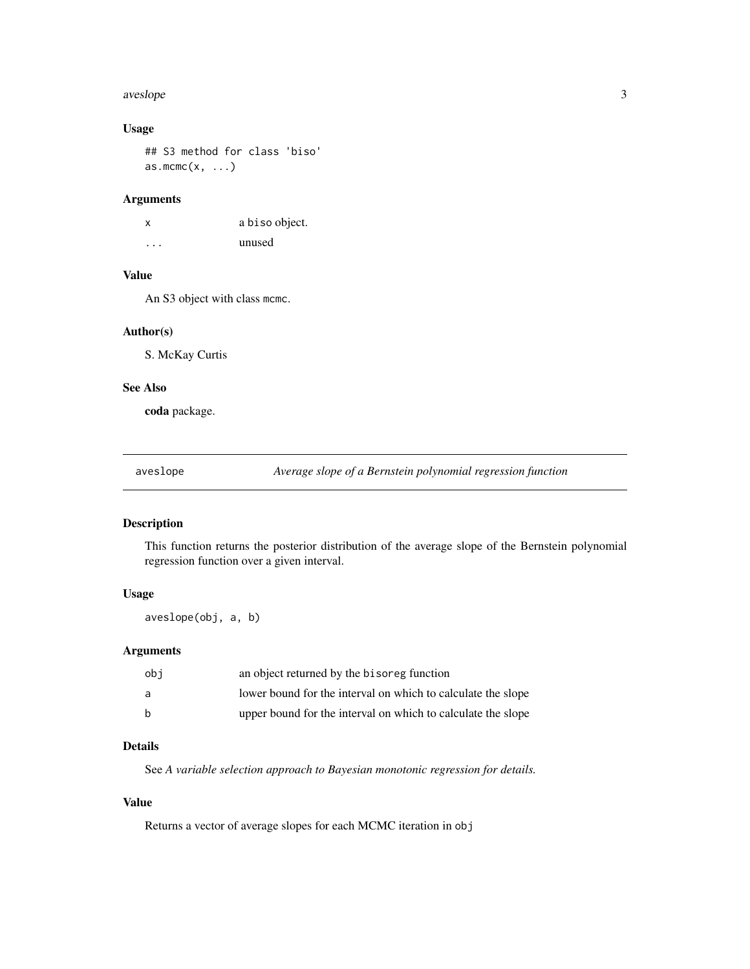#### <span id="page-2-0"></span>aveslope 3

## Usage

## S3 method for class 'biso'  $as.mcmc(x, \ldots)$ 

#### Arguments

| x        | a biso object. |
|----------|----------------|
| $\cdots$ | unused         |

# Value

An S3 object with class mcmc.

#### Author(s)

S. McKay Curtis

#### See Also

coda package.

aveslope *Average slope of a Bernstein polynomial regression function*

## Description

This function returns the posterior distribution of the average slope of the Bernstein polynomial regression function over a given interval.

#### Usage

aveslope(obj, a, b)

## Arguments

| obi | an object returned by the bisoreg function                   |
|-----|--------------------------------------------------------------|
| a   | lower bound for the interval on which to calculate the slope |
| b   | upper bound for the interval on which to calculate the slope |

# Details

See *A variable selection approach to Bayesian monotonic regression for details.*

# Value

Returns a vector of average slopes for each MCMC iteration in obj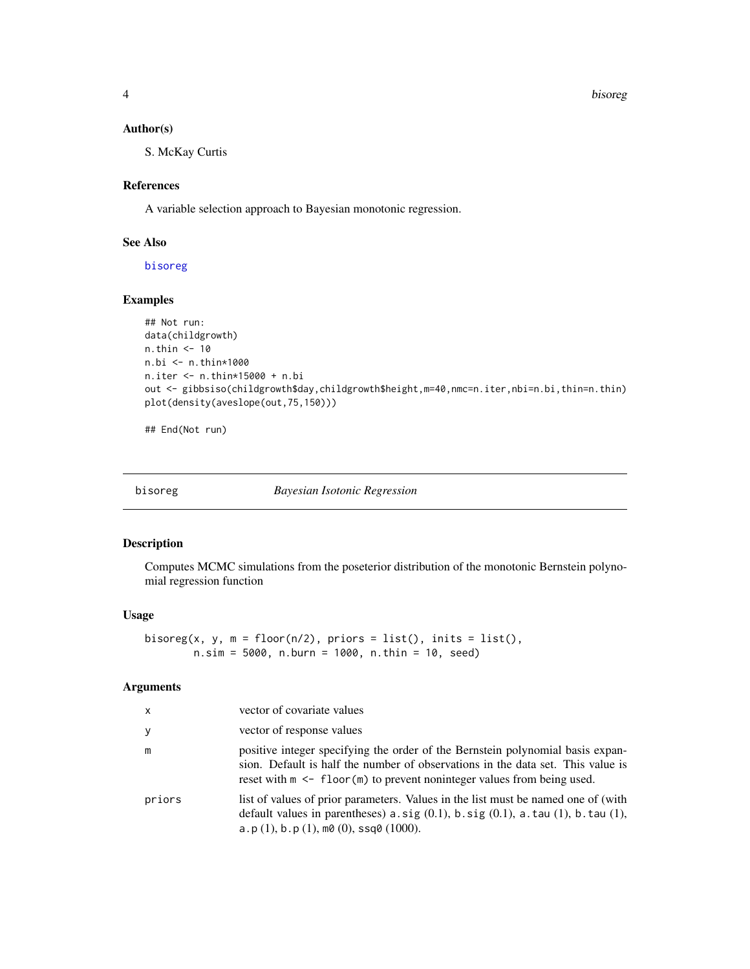<span id="page-3-0"></span>4 bisoreg

#### Author(s)

S. McKay Curtis

## References

A variable selection approach to Bayesian monotonic regression.

#### See Also

[bisoreg](#page-3-1)

#### Examples

```
## Not run:
data(childgrowth)
n.thin <- 10
n.bi <- n.thin*1000
n.iter <- n.thin*15000 + n.bi
out <- gibbsiso(childgrowth$day,childgrowth$height,m=40,nmc=n.iter,nbi=n.bi,thin=n.thin)
plot(density(aveslope(out,75,150)))
```
## End(Not run)

<span id="page-3-1"></span>bisoreg *Bayesian Isotonic Regression*

#### Description

Computes MCMC simulations from the poseterior distribution of the monotonic Bernstein polynomial regression function

#### Usage

```
bisoreg(x, y, m = floor(n/2), priors = list(), inits = list(),
       n.sim = 5000, n.burn = 1000, n.thin = 10, seed)
```
## Arguments

| $\mathsf{x}$ | vector of covariate values                                                                                                                                                                                                                                     |
|--------------|----------------------------------------------------------------------------------------------------------------------------------------------------------------------------------------------------------------------------------------------------------------|
| У            | vector of response values                                                                                                                                                                                                                                      |
| m            | positive integer specifying the order of the Bernstein polynomial basis expan-<br>sion. Default is half the number of observations in the data set. This value is<br>reset with $m \leq f \cdot \text{floor}(m)$ to prevent noninteger values from being used. |
| priors       | list of values of prior parameters. Values in the list must be named one of (with<br>default values in parentheses) $a \, sig (0.1)$ , $b \, sig (0.1)$ , $a \, .$ tau (1), $b \, .$ tau (1),<br>a.p(1), b.p(1), m0(0), ssq0(1000).                            |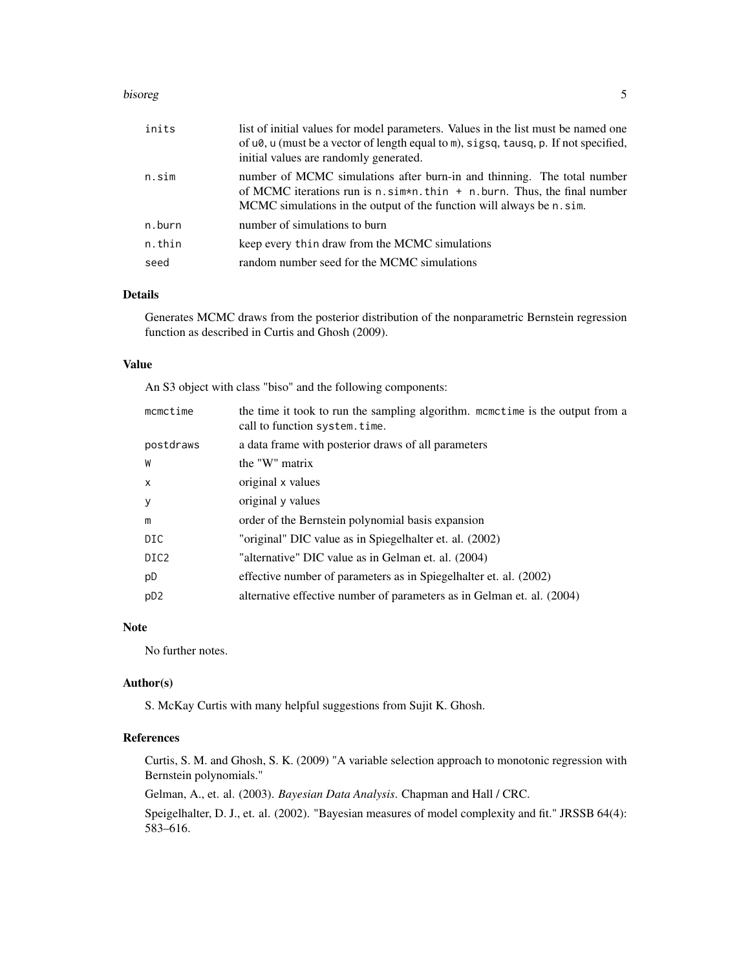#### bisoreg the contract of the contract of the contract of the contract of the contract of the contract of the contract of the contract of the contract of the contract of the contract of the contract of the contract of the co

| inits  | list of initial values for model parameters. Values in the list must be named one<br>of $u\theta$ , u (must be a vector of length equal to m), sigsq, tausq, p. If not specified,<br>initial values are randomly generated.            |
|--------|----------------------------------------------------------------------------------------------------------------------------------------------------------------------------------------------------------------------------------------|
| n.sim  | number of MCMC simulations after burn-in and thinning. The total number<br>of MCMC iterations run is $n \sin x n$ . thin $+ n$ . burn. Thus, the final number<br>MCMC simulations in the output of the function will always be n. sim. |
| n.burn | number of simulations to burn                                                                                                                                                                                                          |
| n.thin | keep every thin draw from the MCMC simulations                                                                                                                                                                                         |
| seed   | random number seed for the MCMC simulations                                                                                                                                                                                            |

#### Details

Generates MCMC draws from the posterior distribution of the nonparametric Bernstein regression function as described in Curtis and Ghosh (2009).

#### Value

An S3 object with class "biso" and the following components:

| mcmctime         | the time it took to run the sampling algorithm. mometime is the output from a<br>call to function system.time. |
|------------------|----------------------------------------------------------------------------------------------------------------|
| postdraws        | a data frame with posterior draws of all parameters                                                            |
| W                | the "W" matrix                                                                                                 |
| X                | original x values                                                                                              |
| y                | original y values                                                                                              |
| m                | order of the Bernstein polynomial basis expansion                                                              |
| DIC              | "original" DIC value as in Spiegelhalter et. al. (2002)                                                        |
| DIC <sub>2</sub> | "alternative" DIC value as in Gelman et. al. (2004)                                                            |
| pD               | effective number of parameters as in Spiegelhalter et. al. (2002)                                              |
| p <sub>D2</sub>  | alternative effective number of parameters as in Gelman et. al. (2004)                                         |

## Note

No further notes.

#### Author(s)

S. McKay Curtis with many helpful suggestions from Sujit K. Ghosh.

## References

Curtis, S. M. and Ghosh, S. K. (2009) "A variable selection approach to monotonic regression with Bernstein polynomials."

Gelman, A., et. al. (2003). *Bayesian Data Analysis*. Chapman and Hall / CRC.

Speigelhalter, D. J., et. al. (2002). "Bayesian measures of model complexity and fit." JRSSB 64(4): 583–616.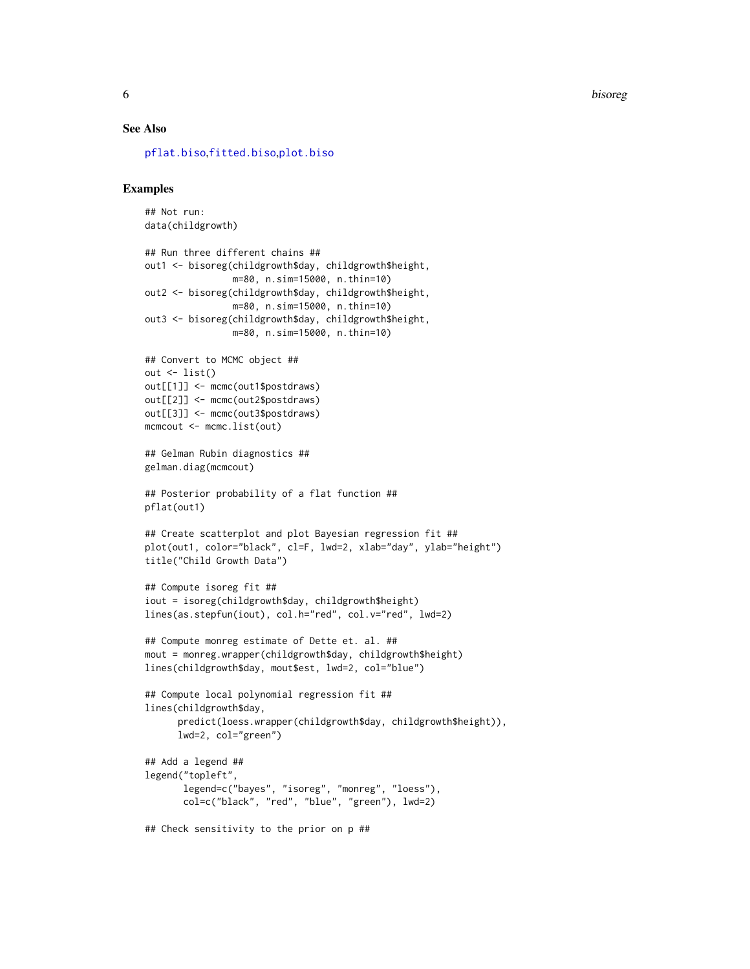<span id="page-5-0"></span>6 bisoreg

#### See Also

[pflat.biso](#page-14-1),[fitted.biso](#page-9-1),[plot.biso](#page-15-1)

#### Examples

## Not run: data(childgrowth)

```
## Run three different chains ##
out1 <- bisoreg(childgrowth$day, childgrowth$height,
                m=80, n.sim=15000, n.thin=10)
out2 <- bisoreg(childgrowth$day, childgrowth$height,
                m=80, n.sim=15000, n.thin=10)
out3 <- bisoreg(childgrowth$day, childgrowth$height,
                m=80, n.sim=15000, n.thin=10)
## Convert to MCMC object ##
out \leftarrow list()
out[[1]] <- mcmc(out1$postdraws)
out[[2]] <- mcmc(out2$postdraws)
out[[3]] <- mcmc(out3$postdraws)
mcmcout <- mcmc.list(out)
## Gelman Rubin diagnostics ##
gelman.diag(mcmcout)
## Posterior probability of a flat function ##
pflat(out1)
## Create scatterplot and plot Bayesian regression fit ##
plot(out1, color="black", cl=F, lwd=2, xlab="day", ylab="height")
title("Child Growth Data")
## Compute isoreg fit ##
iout = isoreg(childgrowth$day, childgrowth$height)
lines(as.stepfun(iout), col.h="red", col.v="red", lwd=2)
## Compute monreg estimate of Dette et. al. ##
mout = monreg.wrapper(childgrowth$day, childgrowth$height)
lines(childgrowth$day, mout$est, lwd=2, col="blue")
## Compute local polynomial regression fit ##
lines(childgrowth$day,
      predict(loess.wrapper(childgrowth$day, childgrowth$height)),
      lwd=2, col="green")
## Add a legend ##
legend("topleft",
       legend=c("bayes", "isoreg", "monreg", "loess"),
       col=c("black", "red", "blue", "green"), lwd=2)
## Check sensitivity to the prior on p ##
```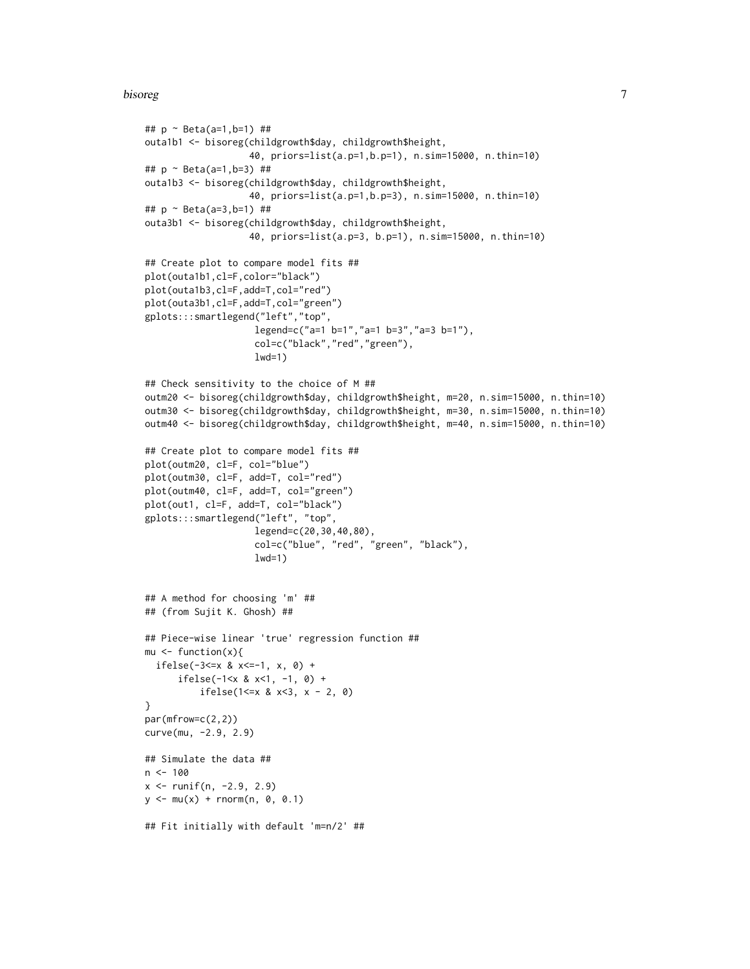#### bisoreg and the contract of the contract of the contract of the contract of the contract of the contract of the contract of the contract of the contract of the contract of the contract of the contract of the contract of th

```
## p ~ Beta(a=1,b=1) ##
outa1b1 <- bisoreg(childgrowth$day, childgrowth$height,
                   40, priors=list(a.p=1,b.p=1), n.sim=15000, n.thin=10)
## p ~ Beta(a=1,b=3) ##
outa1b3 <- bisoreg(childgrowth$day, childgrowth$height,
                   40, priors=list(a.p=1,b.p=3), n.sim=15000, n.thin=10)
## p ~ Beta(a=3,b=1) ##
outa3b1 <- bisoreg(childgrowth$day, childgrowth$height,
                   40, priors=list(a.p=3, b.p=1), n.sim=15000, n.thin=10)
## Create plot to compare model fits ##
plot(outa1b1,cl=F,color="black")
plot(outa1b3,cl=F,add=T,col="red")
plot(outa3b1,cl=F,add=T,col="green")
gplots:::smartlegend("left","top",
                    legend=c("a=1 b=1","a=1 b=3","a=3 b=1"),
                    col=c("black","red","green"),
                    lwd=1)
## Check sensitivity to the choice of M ##
outm20 <- bisoreg(childgrowth$day, childgrowth$height, m=20, n.sim=15000, n.thin=10)
outm30 <- bisoreg(childgrowth$day, childgrowth$height, m=30, n.sim=15000, n.thin=10)
outm40 <- bisoreg(childgrowth$day, childgrowth$height, m=40, n.sim=15000, n.thin=10)
## Create plot to compare model fits ##
plot(outm20, cl=F, col="blue")
plot(outm30, cl=F, add=T, col="red")
plot(outm40, cl=F, add=T, col="green")
plot(out1, cl=F, add=T, col="black")
gplots:::smartlegend("left", "top",
                    legend=c(20,30,40,80),
                    col=c("blue", "red", "green", "black"),
                    lwd=1)
## A method for choosing 'm' ##
## (from Sujit K. Ghosh) ##
## Piece-wise linear 'true' regression function ##
mu \leftarrow function(x){
  ifelse(-3<=x & x<=-1, x, 0) +
      ifelse(-1<x & x<1, -1, 0) +
          ifelse(1<=x & x<3, x - 2, 0)
}
par(mfrow=c(2,2))
curve(mu, -2.9, 2.9)
## Simulate the data ##
n < -100x \le runif(n, -2.9, 2.9)
y \le -mu(x) + rnorm(n, 0, 0.1)## Fit initially with default 'm=n/2' ##
```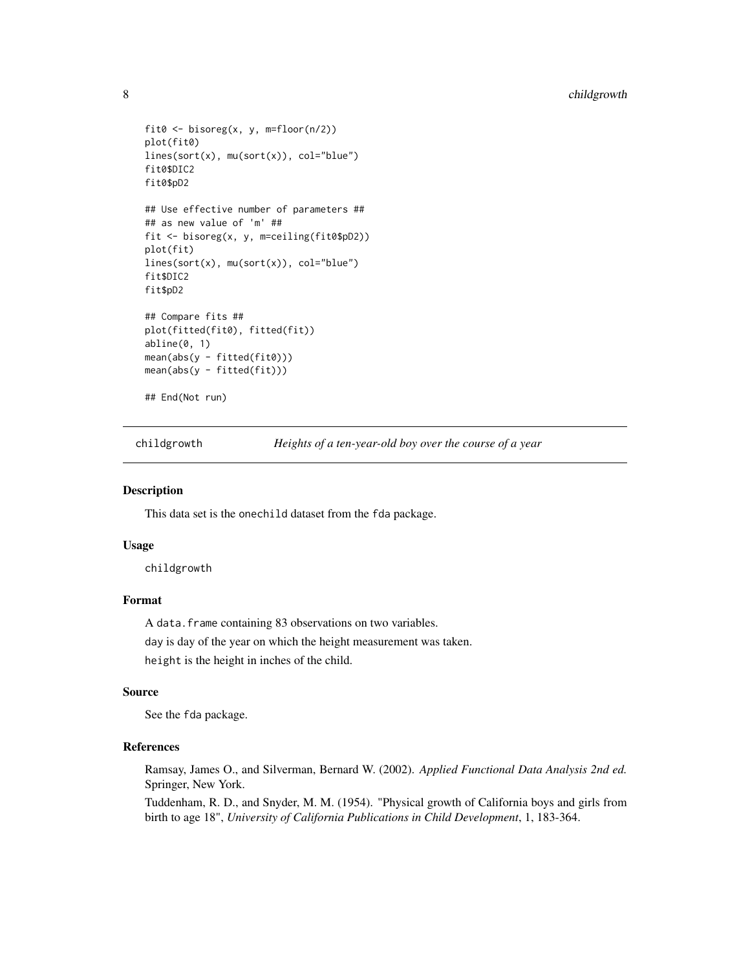```
fit0 \leftarrow bisoreg(x, y, m=floor(n/2))
plot(fit0)
lines(sort(x), mu(sort(x)), col="blue")
fit0$DIC2
fit0$pD2
## Use effective number of parameters ##
## as new value of 'm' ##
fit <- bisoreg(x, y, m=ceiling(fit0$pD2))
plot(fit)
lines(sort(x), mu(sort(x)), col="blue")
fit$DIC2
fit$pD2
## Compare fits ##
plot(fitted(fit0), fitted(fit))
abline(0, 1)
mean(abs(y - fitted(fit0)))
mean(abs(y - fitted(fit)))
## End(Not run)
```
childgrowth *Heights of a ten-year-old boy over the course of a year*

#### Description

This data set is the onechild dataset from the fda package.

#### Usage

childgrowth

## Format

A data. frame containing 83 observations on two variables.

day is day of the year on which the height measurement was taken. height is the height in inches of the child.

#### Source

See the fda package.

## References

Ramsay, James O., and Silverman, Bernard W. (2002). *Applied Functional Data Analysis 2nd ed.* Springer, New York.

Tuddenham, R. D., and Snyder, M. M. (1954). "Physical growth of California boys and girls from birth to age 18", *University of California Publications in Child Development*, 1, 183-364.

<span id="page-7-0"></span>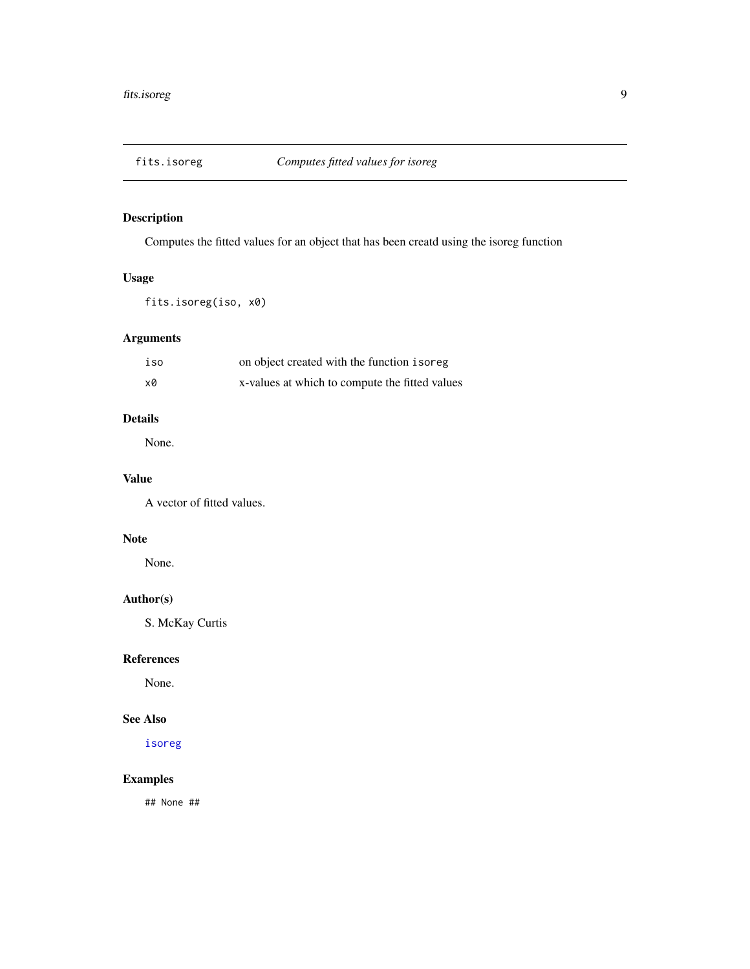<span id="page-8-0"></span>

Computes the fitted values for an object that has been creatd using the isoreg function

## Usage

fits.isoreg(iso, x0)

# Arguments

| iso | on object created with the function isoreg     |
|-----|------------------------------------------------|
| х0  | x-values at which to compute the fitted values |

# Details

None.

# Value

A vector of fitted values.

# Note

None.

# Author(s)

S. McKay Curtis

## References

None.

#### See Also

[isoreg](#page-0-0)

## Examples

## None ##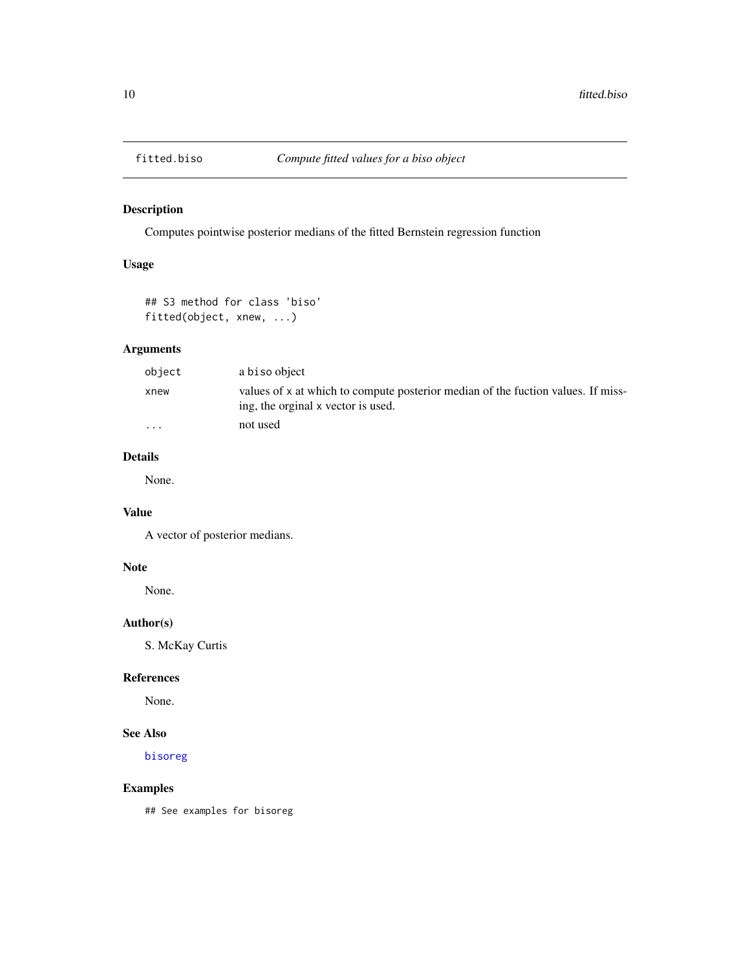<span id="page-9-1"></span><span id="page-9-0"></span>

Computes pointwise posterior medians of the fitted Bernstein regression function

## Usage

## S3 method for class 'biso' fitted(object, xnew, ...)

## Arguments

| object   | a biso object                                                                                                          |
|----------|------------------------------------------------------------------------------------------------------------------------|
| xnew     | values of x at which to compute posterior median of the fuction values. If miss-<br>ing, the orginal x vector is used. |
| $\cdots$ | not used                                                                                                               |

# Details

None.

# Value

A vector of posterior medians.

## Note

None.

## Author(s)

S. McKay Curtis

## References

None.

## See Also

[bisoreg](#page-3-1)

## Examples

## See examples for bisoreg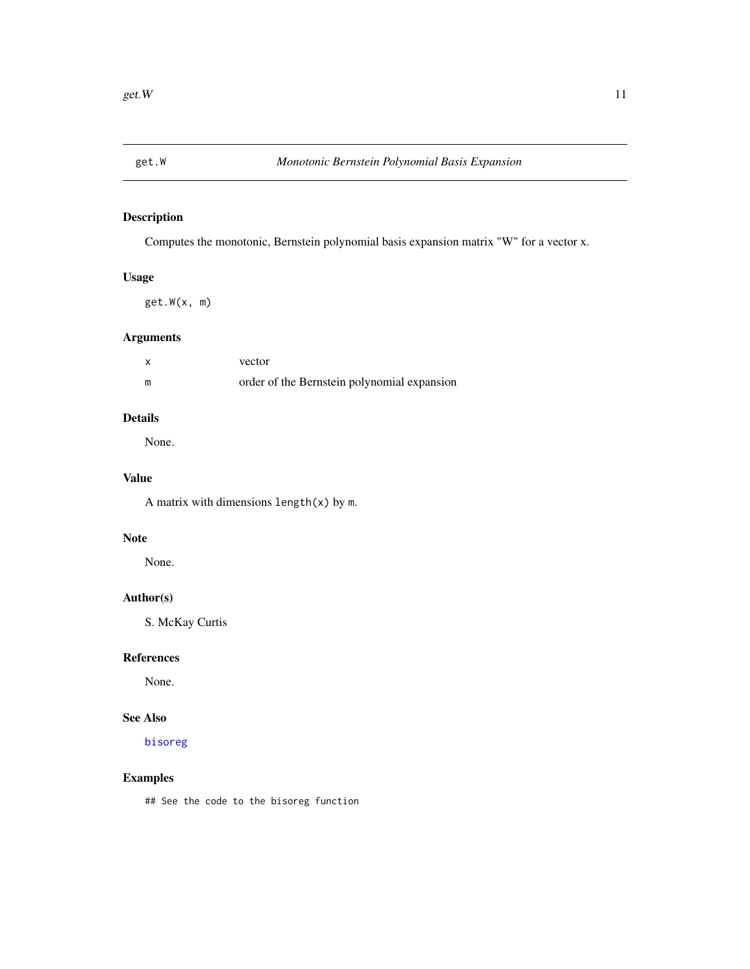<span id="page-10-0"></span>

Computes the monotonic, Bernstein polynomial basis expansion matrix "W" for a vector x.

## Usage

get.W(x, m)

# Arguments

| vector                                      |
|---------------------------------------------|
| order of the Bernstein polynomial expansion |

# Details

None.

# Value

A matrix with dimensions length(x) by m.

# Note

None.

## Author(s)

S. McKay Curtis

## References

None.

#### See Also

[bisoreg](#page-3-1)

## Examples

## See the code to the bisoreg function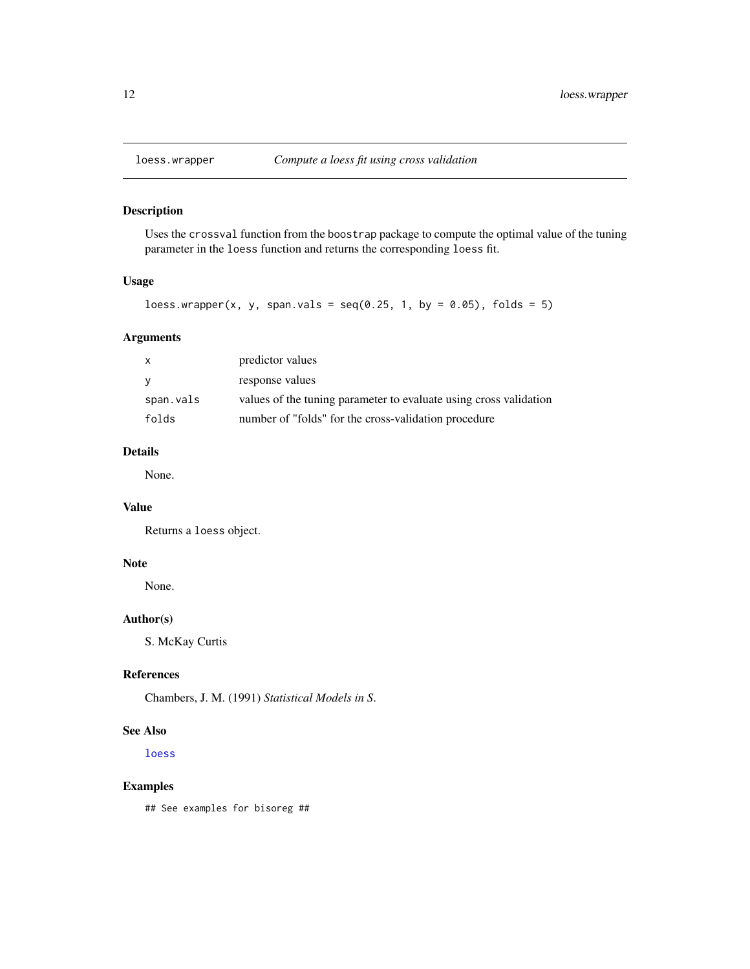<span id="page-11-0"></span>

Uses the crossval function from the boostrap package to compute the optimal value of the tuning parameter in the loess function and returns the corresponding loess fit.

## Usage

```
loess.wrapper(x, y, span.vals = seq(0.25, 1, by = 0.05), folds = 5)
```
#### Arguments

| X         | predictor values                                                  |
|-----------|-------------------------------------------------------------------|
| y         | response values                                                   |
| span.vals | values of the tuning parameter to evaluate using cross validation |
| folds     | number of "folds" for the cross-validation procedure              |

## Details

None.

#### Value

Returns a loess object.

#### Note

None.

## Author(s)

S. McKay Curtis

## References

Chambers, J. M. (1991) *Statistical Models in S*.

#### See Also

[loess](#page-0-0)

## Examples

## See examples for bisoreg ##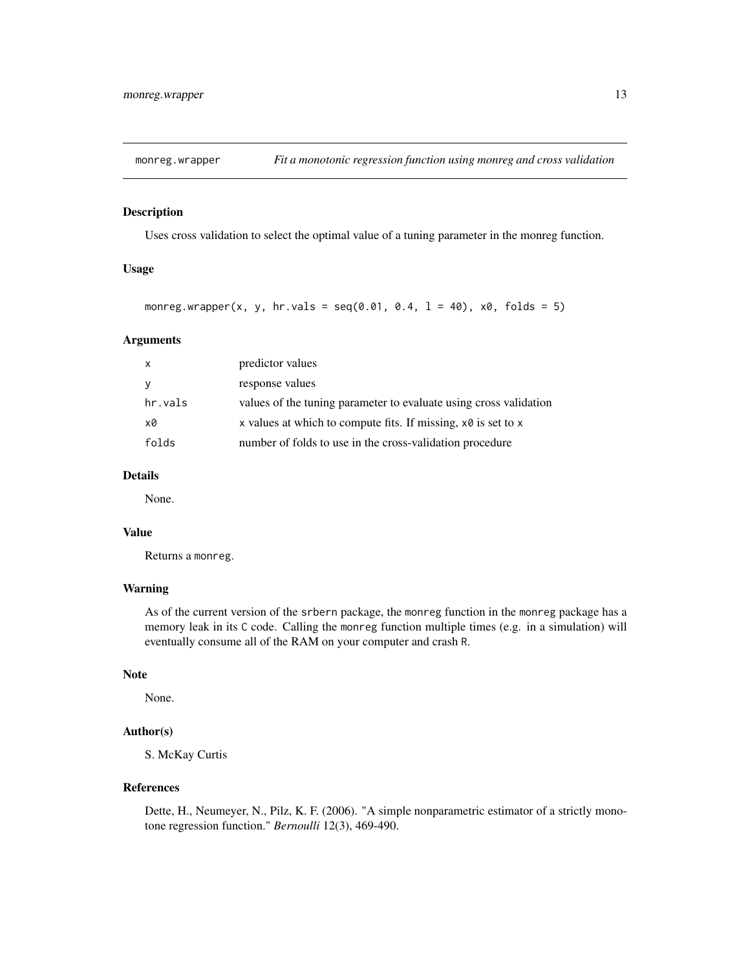<span id="page-12-0"></span>

Uses cross validation to select the optimal value of a tuning parameter in the monreg function.

## Usage

monreg.wrapper(x, y, hr.vals =  $seq(0.01, 0.4, 1 = 40)$ , x0, folds = 5)

#### Arguments

| $\mathsf{x}$ | predictor values                                                      |
|--------------|-----------------------------------------------------------------------|
| <b>V</b>     | response values                                                       |
| hr.vals      | values of the tuning parameter to evaluate using cross validation     |
| x0           | x values at which to compute fits. If missing, $x \theta$ is set to x |
| folds        | number of folds to use in the cross-validation procedure              |

#### Details

None.

#### Value

Returns a monreg.

#### Warning

As of the current version of the srbern package, the monreg function in the monreg package has a memory leak in its C code. Calling the monreg function multiple times (e.g. in a simulation) will eventually consume all of the RAM on your computer and crash R.

#### Note

None.

# Author(s)

S. McKay Curtis

#### References

Dette, H., Neumeyer, N., Pilz, K. F. (2006). "A simple nonparametric estimator of a strictly monotone regression function." *Bernoulli* 12(3), 469-490.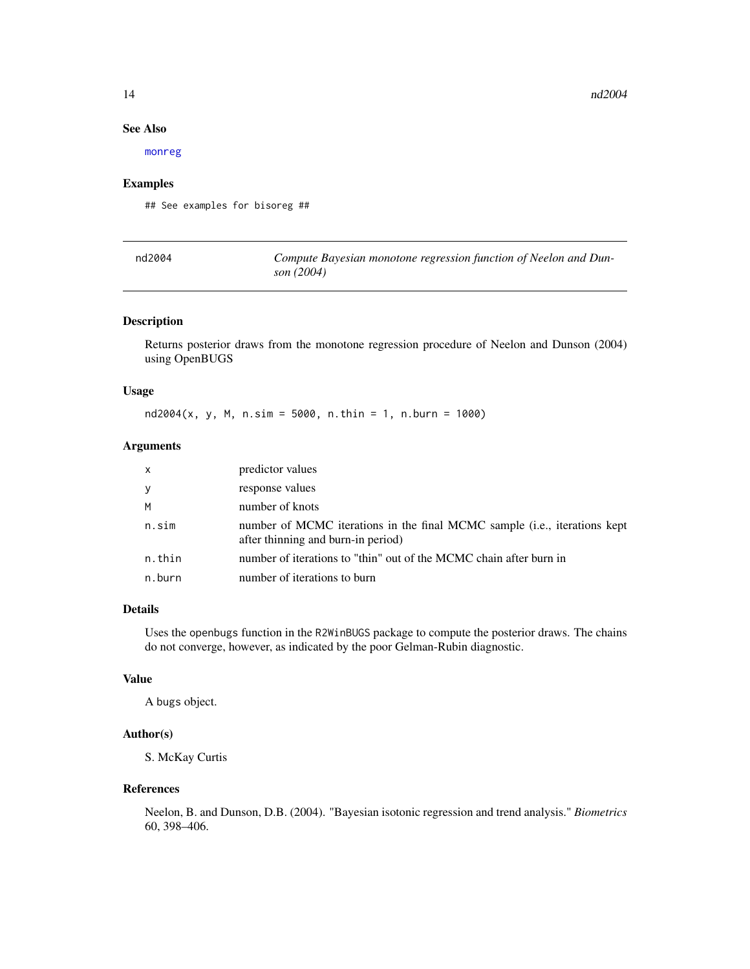#### See Also

[monreg](#page-0-0)

#### Examples

## See examples for bisoreg ##

| nd2004 | Compute Bayesian monotone regression function of Neelon and Dun- |
|--------|------------------------------------------------------------------|
|        | son (2004)                                                       |

## Description

Returns posterior draws from the monotone regression procedure of Neelon and Dunson (2004) using OpenBUGS

#### Usage

nd2004(x, y, M, n.sim = 5000, n.thin = 1, n.burn = 1000)

## Arguments

| X      | predictor values                                                                                                |
|--------|-----------------------------------------------------------------------------------------------------------------|
| У      | response values                                                                                                 |
| M      | number of knots                                                                                                 |
| n.sim  | number of MCMC iterations in the final MCMC sample (i.e., iterations kept<br>after thinning and burn-in period) |
| n.thin | number of iterations to "thin" out of the MCMC chain after burn in                                              |
| n.burn | number of iterations to burn                                                                                    |

#### Details

Uses the openbugs function in the R2WinBUGS package to compute the posterior draws. The chains do not converge, however, as indicated by the poor Gelman-Rubin diagnostic.

#### Value

A bugs object.

## Author(s)

S. McKay Curtis

#### References

Neelon, B. and Dunson, D.B. (2004). "Bayesian isotonic regression and trend analysis." *Biometrics* 60, 398–406.

<span id="page-13-0"></span>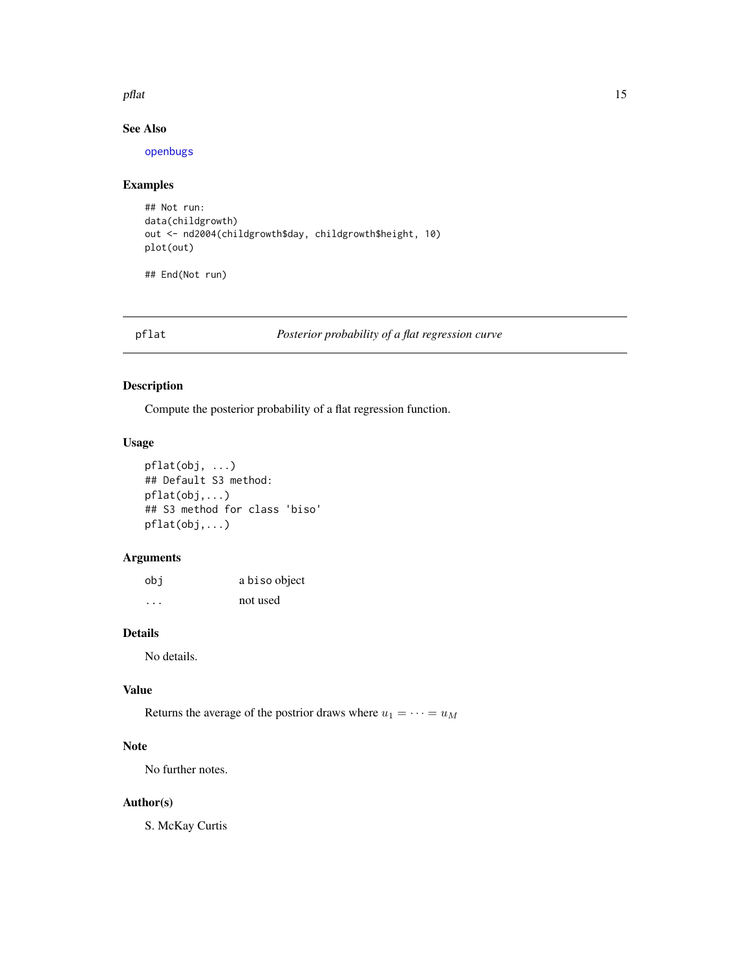#### <span id="page-14-0"></span>pflat the contract of the contract of the contract of the contract of the contract of the contract of the contract of the contract of the contract of the contract of the contract of the contract of the contract of the cont

## See Also

[openbugs](#page-0-0)

## Examples

```
## Not run:
data(childgrowth)
out <- nd2004(childgrowth$day, childgrowth$height, 10)
plot(out)
```
## End(Not run)

pflat *Posterior probability of a flat regression curve*

#### <span id="page-14-1"></span>Description

Compute the posterior probability of a flat regression function.

## Usage

```
pflat(obj, ...)
## Default S3 method:
pflat(obj,...)
## S3 method for class 'biso'
pflat(obj,...)
```
## Arguments

| obi      | a biso object |
|----------|---------------|
| $\cdots$ | not used      |

#### Details

No details.

#### Value

Returns the average of the postrior draws where  $u_1 = \cdots = u_M$ 

## Note

No further notes.

#### Author(s)

S. McKay Curtis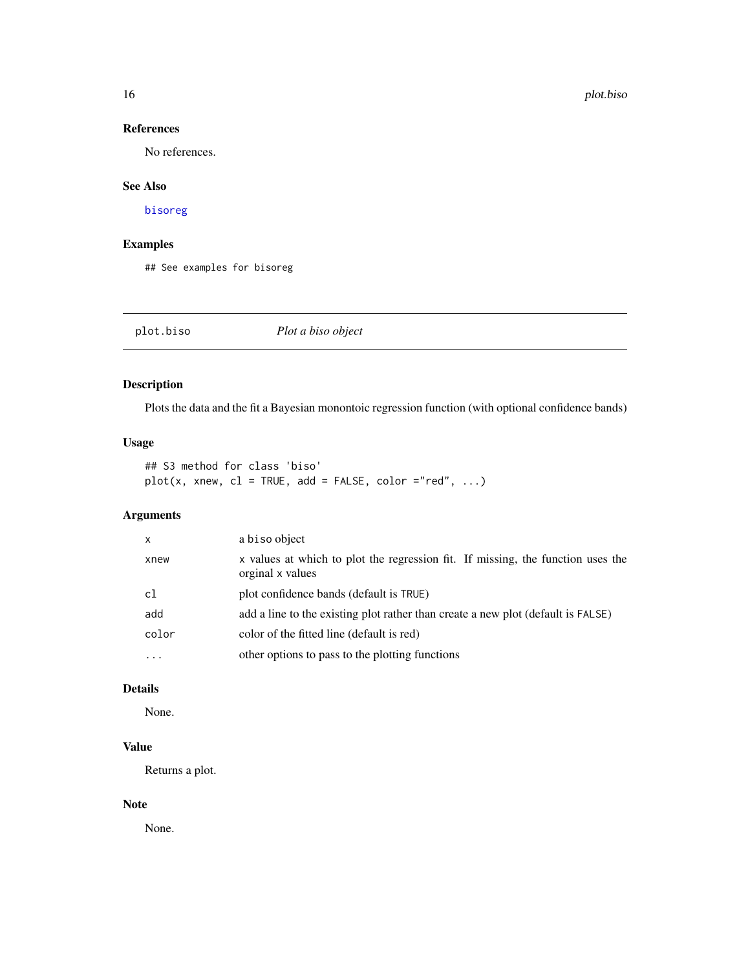## <span id="page-15-0"></span>References

No references.

#### See Also

[bisoreg](#page-3-1)

#### Examples

## See examples for bisoreg

<span id="page-15-1"></span>plot.biso *Plot a biso object*

#### Description

Plots the data and the fit a Bayesian monontoic regression function (with optional confidence bands)

## Usage

## S3 method for class 'biso'  $plot(x, xnew, cl = TRUE, add = FALSE, color = "red", ...)$ 

## Arguments

| $\mathsf{x}$            | a biso object                                                                                       |
|-------------------------|-----------------------------------------------------------------------------------------------------|
| xnew                    | x values at which to plot the regression fit. If missing, the function uses the<br>orginal x values |
| c1                      | plot confidence bands (default is TRUE)                                                             |
| add                     | add a line to the existing plot rather than create a new plot (default is FALSE)                    |
| color                   | color of the fitted line (default is red)                                                           |
| $\cdot$ $\cdot$ $\cdot$ | other options to pass to the plotting functions                                                     |

#### Details

None.

# Value

Returns a plot.

#### Note

None.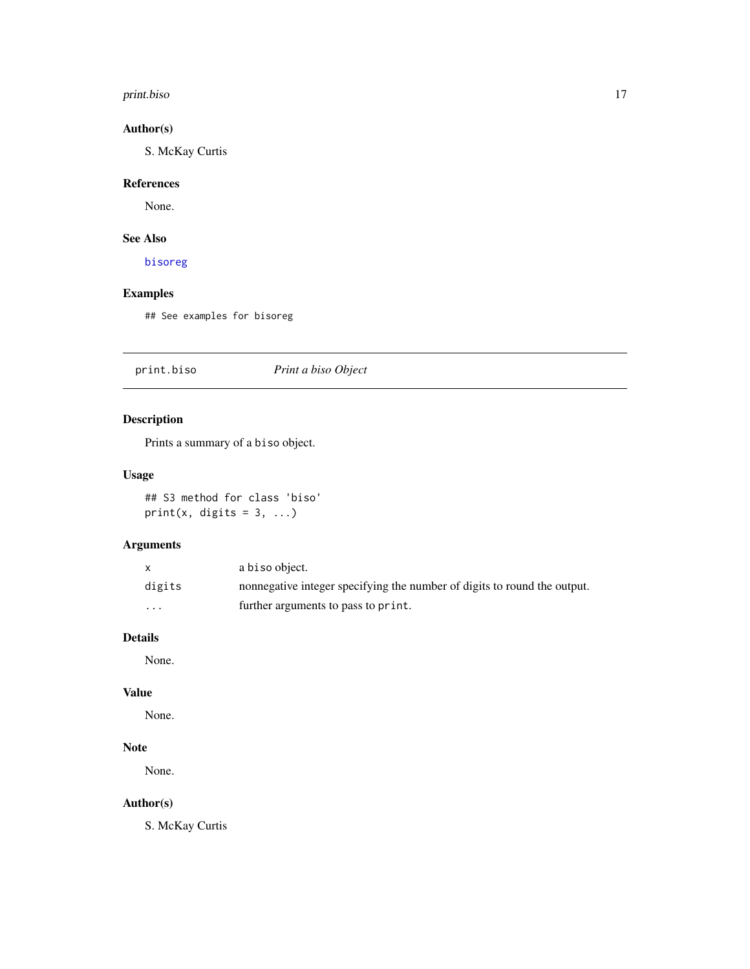#### <span id="page-16-0"></span>print.biso that is a set of the set of the set of the set of the set of the set of the set of the set of the set of the set of the set of the set of the set of the set of the set of the set of the set of the set of the set

# Author(s)

S. McKay Curtis

# References

None.

# See Also

[bisoreg](#page-3-1)

## Examples

## See examples for bisoreg

print.biso *Print a biso Object*

# Description

Prints a summary of a biso object.

## Usage

## S3 method for class 'biso' print(x, digits =  $3, ...$ )

# Arguments

|          | a biso object.                                                           |
|----------|--------------------------------------------------------------------------|
| digits   | nonnegative integer specifying the number of digits to round the output. |
| $\cdots$ | further arguments to pass to print.                                      |

#### Details

None.

#### Value

None.

# Note

None.

# Author(s)

S. McKay Curtis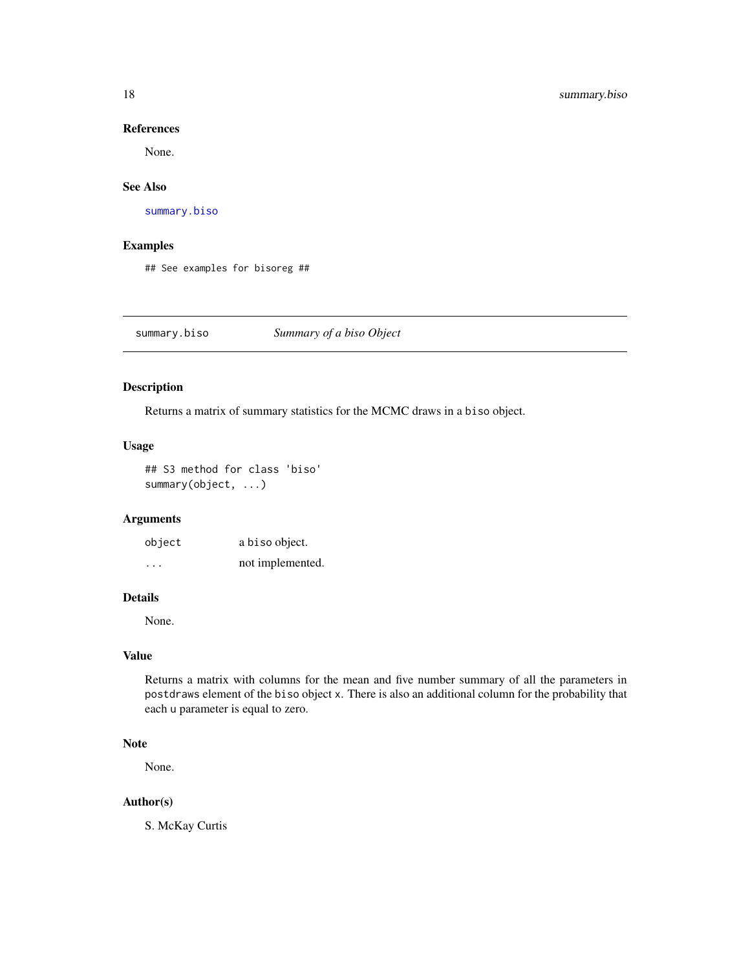#### References

None.

#### See Also

[summary.biso](#page-17-1)

#### Examples

## See examples for bisoreg ##

<span id="page-17-1"></span>summary.biso *Summary of a biso Object*

#### Description

Returns a matrix of summary statistics for the MCMC draws in a biso object.

#### Usage

## S3 method for class 'biso' summary(object, ...)

#### Arguments

object a biso object. ... not implemented.

#### Details

None.

## Value

Returns a matrix with columns for the mean and five number summary of all the parameters in postdraws element of the biso object x. There is also an additional column for the probability that each u parameter is equal to zero.

#### Note

None.

#### Author(s)

S. McKay Curtis

<span id="page-17-0"></span>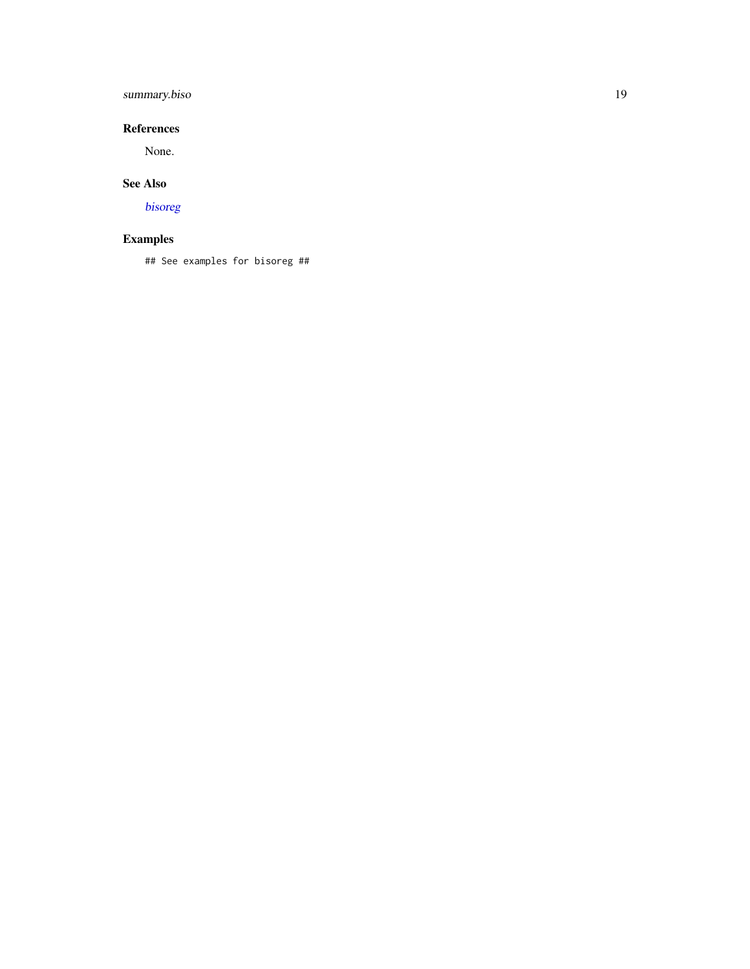# <span id="page-18-0"></span>summary.biso 19

## References

None.

## See Also

[bisoreg](#page-3-1)

# Examples

## See examples for bisoreg ##